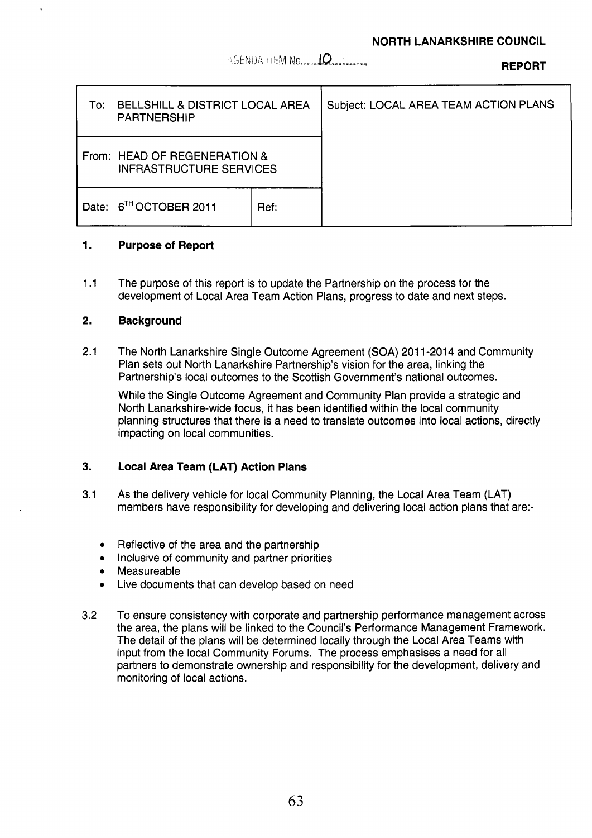\*G€A!DA lTFM No. **.,,.,lC?,,,,,,,-,, REPORT** 

| To:   | BELLSHILL & DISTRICT LOCAL AREA<br><b>PARTNERSHIP</b>          |      | Subject: LOCAL AREA TEAM ACTION PLANS |
|-------|----------------------------------------------------------------|------|---------------------------------------|
|       | From: HEAD OF REGENERATION &<br><b>INFRASTRUCTURE SERVICES</b> |      |                                       |
| Date: | $6^{TH}$ OCTOBER 2011                                          | Ref: |                                       |

### **1. Purpose of Report**

1.1 The purpose of this report is to update the Partnership on the process for the development of Local Area Team Action Plans, progress to date and next steps.

### **2. Background**

2.1 The North Lanarkshire Single Outcome Agreement **(SOA)** 201 1-2014 and Community Plan sets out North Lanarkshire Partnership's vision for the area, linking the Partnership's local outcomes to the Scottish Government's national outcomes.

While the Single Outcome Agreement and Community Plan provide a strategic and North Lanarkshire-wide focus, it has been identified within the local community planning structures that there is a need to translate outcomes into local actions, directly impacting on local communities.

## **3. Local Area Team (LAT) Action Plans**

- 3.1 As the delivery vehicle for local Community Planning, the Local Area Team (LAT) members have responsibility for developing and delivering local action plans that are:
	- **e**  Reflective of the area and the partnership
	- *0*  Inclusive of community and partner priorities
	- *0*  Measureable
	- *0*  Live documents that can develop based on need
- 3.2 To ensure consistency with corporate and partnership performance management across the area, the plans will be linked to the Council's Performance Management Framework. The detail of the plans will be determined locally through the Local Area Teams with input from the local Community Forums. The process emphasises a need for all partners to demonstrate ownership and responsibility for the development, delivery and monitoring of local actions.